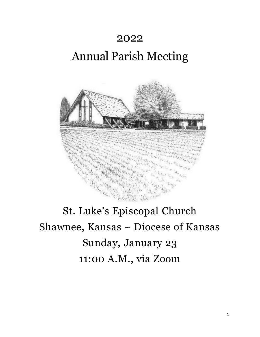# 2022

# Annual Parish Meeting



# St. Luke's Episcopal Church Shawnee, Kansas ~ Diocese of Kansas Sunday, January 23 11:00 A.M., via Zoom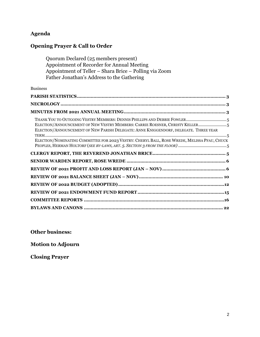# **Agenda**

# **Opening Prayer & Call to Order**

Quorum Declared (25 members present) Appointment of Recorder for Annual Meeting Appointment of Teller – Shara Brice – Polling via Zoom Father Jonathan's Address to the Gathering

### Business

| THANK YOU TO OUTGOING VESTRY MEMBERS: DENNIS PHILLIPS AND DEBBIE FOWLER5<br>ELECTION/ANNOUNCEMENT OF NEW VESTRY MEMBERS: CARRIE ROESNER, CHRISTY KELLER5<br>ELECTION/ANNOUNCEMENT OF NEW PARISH DELEGATE: ANNE KNIGGENDORF, DELEGATE. THREE YEAR<br>ELECTION/NOMINATING COMMITTEE FOR 2023 VESTRY: CHERYL BALL, ROSE WREDE, MELISSA PFAU, CHUCK |
|-------------------------------------------------------------------------------------------------------------------------------------------------------------------------------------------------------------------------------------------------------------------------------------------------------------------------------------------------|
|                                                                                                                                                                                                                                                                                                                                                 |
|                                                                                                                                                                                                                                                                                                                                                 |
|                                                                                                                                                                                                                                                                                                                                                 |
|                                                                                                                                                                                                                                                                                                                                                 |
|                                                                                                                                                                                                                                                                                                                                                 |
|                                                                                                                                                                                                                                                                                                                                                 |
|                                                                                                                                                                                                                                                                                                                                                 |
|                                                                                                                                                                                                                                                                                                                                                 |

**Other business:** 

**Motion to Adjourn**

**Closing Prayer**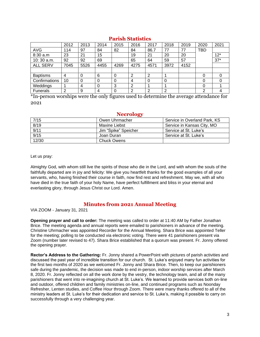<span id="page-2-0"></span>

|                 | 2012 | 2013 | 2014 | 2015 | 2016 | 2017 | 2018 | 2019 | 2020       | 2021  |
|-----------------|------|------|------|------|------|------|------|------|------------|-------|
| <b>AVG</b>      | 114  | 97   | 84   | 82   | 84   | 86.7 | 77   | 77   | <b>TBD</b> |       |
| 8:30 a.m        | 23   | 21   | 15   |      | 19   | 21   | 20   | 20   |            | $12*$ |
| $10:30$ a.m.    | 92   | 92   | 69   |      | 65   | 64   | 59   | 57   |            | $37*$ |
| <b>ALL SERV</b> | 7045 | 5526 | 4455 | 4269 | 4275 | 4571 | 3972 | 4152 |            |       |
|                 |      |      |      |      |      |      |      |      |            |       |
| <b>Baptisms</b> | 4    | 0    | 6    | 0    | 2    | 2    |      |      |            |       |
| Confirmations   | 10   | 0    |      | 0    | 4    | 0    |      |      | 0          |       |
| Weddings        |      | 4    | 0    | 3    | 2    |      |      |      |            |       |
| <b>Funerals</b> | ົ    | 9    | 4    | 0    | 2    | ົ    | ⌒    |      | ◠          |       |

### **Parish Statistics**

<span id="page-2-1"></span>\*In-person worships were the only figures used to determine the average attendance for 2021

### **Necrology**

| 7/15  | Owen Uhrmacher       | Service in Overland Park, KS |
|-------|----------------------|------------------------------|
| 8/19  | Maxine Liebst        | Service in Kansas City, MO   |
| 9/11  | Jim "Spike" Speicher | Service at St. Luke's        |
| 9/15  | Joan Duran           | Service at St. Luke's        |
| 12/30 | Chuck Owens          |                              |

Let us pray:

Almighty God, with whom still live the spirits of those who die in the Lord, and with whom the souls of the faithfully departed are in joy and felicity: We give you heartfelt thanks for the good examples of all your servants, who, having finished their course in faith, now find rest and refreshment. May we, with all who have died in the true faith of your holy Name, have perfect fulfillment and bliss in your eternal and everlasting glory, through Jesus Christ our Lord. Amen.

### **Minutes from 2021 Annual Meeting**

<span id="page-2-2"></span>VIA ZOOM - January 31, 2021

**Opening prayer and call to order:** The meeting was called to order at 11:40 AM by Father Jonathan Brice. The meeting agenda and annual reports were emailed to parishioners in advance of the meeting. Christine Uhrmacher was appointed Recorder for the Annual Meeting. Shara Brice was appointed Teller for the meeting; polling to be conducted via electronic voting. There were 41 parishioners present via Zoom (number later revised to 47). Shara Brice established that a quorum was present. Fr. Jonny offered the opening prayer.

**Rector's Address to the Gathering:** Fr. Jonny shared a PowerPoint with pictures of parish activities and discussed the past year of incredible transition for our church. St. Luke's enjoyed many fun activities for the first two months of 2020 as we welcomed Fr. Jonny and Shara Brice. Then, to keep our parishioners safe during the pandemic, the decision was made to end in-person, indoor worship services after March 8, 2020. Fr. Jonny reflected on all the work done by the vestry, the technology team, and all of the many parishioners that went into re-imagining church at St. Luke's. We learned to provide services both on-line and outdoor, offered children and family ministries on-line, and continued programs such as Noonday Refresher, Lenten studies, and Coffee Hour through Zoom. There were many thanks offered to all of the ministry leaders at St. Luke's for their dedication and service to St. Luke's, making it possible to carry on successfully through a very challenging year.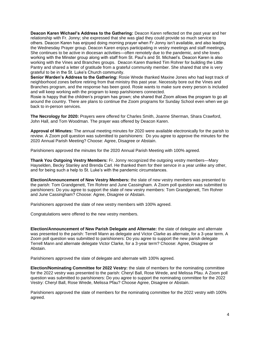**Deacon Karen Wichael's Address to the Gathering:** Deacon Karen reflected on the past year and her relationship with Fr. Jonny; she expressed that she was glad they could provide so much service to others. Deacon Karen has enjoyed doing morning prayer when Fr Jonny isn't available, and also leading the Wednesday Prayer group. Deacon Karen enjoys participating in vestry meetings and staff meetings. She continues to be active in diocesan activities—often remotely due to the pandemic, and she loves working with the Minster group along with staff from St. Paul's and St. Michael's. Deacon Karen is also working with the Vines and Branches groups. Deacon Karen thanked Tim Rohrer for building the Little Pantry and shared a letter of gratitude from a grateful community member. She shared that she is very grateful to be in the St. Luke's Church community.

**Senior Warden's Address to the Gathering:** Rosie Wrede thanked Maxine Jones who had kept track of neighborhood zones before retiring from that ministry this past year. Necessity bore out the Vines and Branches program, and the response has been good. Rosie wants to make sure every person is included and will keep working with the program to keep parishioners connected.

Rosie is happy that the children's program has grown; she shared that Zoom allows the program to go all around the country. There are plans to continue the Zoom programs for Sunday School even when we go back to in-person services.

**The Necrology for 2020:** Prayers were offered for Charles Smith, Joanne Sherman, Shara Crawford, John Hall, and Tom Woodman. The prayer was offered by Deacon Karen.

**Approval of Minutes:** The annual meeting minutes for 2020 were available electronically for the parish to review. A Zoom poll question was submitted to parishioners: Do you agree to approve the minutes for the 2020 Annual Parish Meeting? Choose: Agree, Disagree or Abstain.

Parishioners approved the minutes for the 2020 Annual Parish Meeting with 100% agreed.

**Thank You Outgoing Vestry Members:** Fr. Jonny recognized the outgoing vestry members—Mary Hayselden, Becky Stanley and Brenda Carl. He thanked them for their service in a year unlike any other, and for being such a help to St. Luke's with the pandemic circumstances.

**Election/Announcement of New Vestry Members:** the slate of new vestry members was presented to the parish: Tom Grandgenett, Tim Rohrer and June Cassingham. A Zoom poll question was submitted to parishioners: Do you agree to support the slate of new vestry members: Tom Grandgenett, Tim Rohrer and June Cassingham? Choose: Agree, Disagree or Abstain.

Parishioners approved the slate of new vestry members with 100% agreed.

Congratulations were offered to the new vestry members.

**Election/Announcement of New Parish Delegate and Alternate:** the slate of delegate and alternate was presented to the parish: Terrell Mann as delegate and Victor Clarke as alternate, for a 3-year term. A Zoom poll question was submitted to parishioners: Do you agree to support the new parish delegate Terrell Mann and alternate delegate Victor Clarke, for a 3-year term? Choose: Agree, Disagree or Abstain.

Parishioners approved the slate of delegate and alternate with 100% agreed.

**Election/Nominating Committee for 2022 Vestry:** the slate of members for the nominating committee for the 2022 vestry was presented to the parish: Cheryl Ball, Rose Wrede, and Melissa Pfau. A Zoom poll question was submitted to parishioners: Do you agree to support the nominating committee for the 2022 Vestry: Cheryl Ball, Rose Wrede, Melissa Pfau? Choose Agree, Disagree or Abstain.

Parishioners approved the slate of members for the nominating committee for the 2022 vestry with 100% agreed.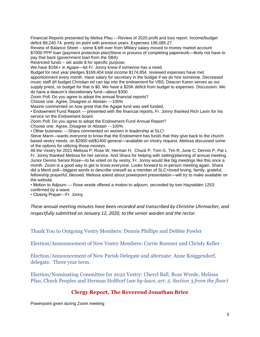Financial Reports presented by Melisa Pfau ---Review of 2020 profit and loss report. Income/budget deficit \$9,240.74. pretty on point with previous years. Expenses 196,085.27.

Review of Balance Sheet – some \$ left over from MMary salary moved to money market account \$7000 PPP loan (payment protection plan)Steve in process of completing paperwork—likely not have to pay that back (government loan from the SBA)

Restricted funds – set aside \$ for specific purpose.

We have \$16K+ in Agape—let Fr. Jonny know if someone has a need.

Budget for next year pledges \$169,404 total income \$174,854 reviewed expenses have met apportionment every month. Have salary for secretary in the budget if we do hire someone. Decreased music staff d/t budget.Christian ed can tap into the endowment for VBS. Deacon Karen serves as our supply priest, so budget for that is \$0. We have a \$20K deficit from budget to expenses. Discussion: We do have a deacon's discretionary fund—about \$300.

Zoom Poll: Do you agree to adopt the annual financial reports?

Choose one: Agree, Disagree or Abstain ---100%

Maxine commented on how great that the Agape fund was well funded.

• Endowment Fund Report --- presented with the financial reports, Fr. Jonny thanked Rich Lavin for his service on the Endowment board.

Zoom Poll: Do you agree to adopt the Endowment Fund Annual Report?

Choose one: Agree, Disagree or Abstain ---100%

• Other business: ---Shara commented on women in leadership at SLC!

Steve Mann—wants everyone to know that the Endowment has funds that they give back to the church based vestry needs. on \$2900 ed/\$1400 general—available on Vestry request. Melissa discussed some of the options for utilizing those moneys.

All the Vestry for 2021 Melissa P, Rose W, Herman H, Chuck P, Tom G, Tim R, June C, Dennis P, Pat L Fr. Jonny thanked Melissa for her service. And Shara for helping with setting/planning of annual meeting. Junior Dennis Senior Rose—to be voted on by vestry. Fr. Jonny would like big meetings like this once a month. Zoom is a good way to get to know everyone. Looks forward to in-person meeting again. Shara did a Menti poll—biggest words to describe oneself as a member of SLC=loved loving, family, grateful, fellowship prayerful, blessed. Melissa asked about powerpoint presentation—will try to make available on the website.

• Motion to Adjourn --- Rose wrede offered a motion to adjourn, seconded by tom Hayselden 1253: confirmed by a wave.

• Closing Prayer---Fr. Jonny

*These annual meeting minutes have been recorded and transcribed by Christine Uhrmacher, and respectfully submitted on January 12, 2020, to the senior warden and the rector.*

<span id="page-4-0"></span>Thank You to Outgoing Vestry Members: Dennis Phillips and Debbie Fowler

<span id="page-4-1"></span>Election/Announcement of New Vestry Members: Carrie Roesner and Christy Keller

<span id="page-4-2"></span>Election/Announcement of New Parish Delegate and alternate: Anne Kniggendorf, delegate. Three year term.

<span id="page-4-3"></span>Election/Nominating Committee for 2022 Vestry: Cheryl Ball, Rose Wrede, Melissa Pfau, Chuck Peoples and Herman Holftorf (*see by-laws, art. 5. Section 3 from the floor)*

## **Clergy Report, The Reverend Jonathan Brice**

<span id="page-4-4"></span>Powerpoint given during Zoom meeting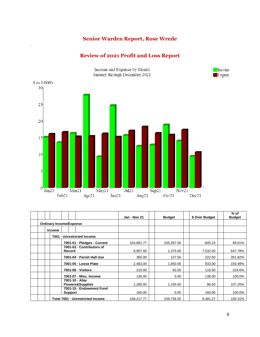# **Senior Warden Report, Rose Wrede**

## **Review of 2021 Profit and Loss Report**

<span id="page-5-1"></span><span id="page-5-0"></span>.



|  |                                |                |                                                | Jan - Nov 21 | <b>Budget</b> | \$ Over Budget | $%$ of<br><b>Budget</b> |
|--|--------------------------------|----------------|------------------------------------------------|--------------|---------------|----------------|-------------------------|
|  | <b>Ordinary Income/Expense</b> |                |                                                |              |               |                |                         |
|  | <b>Income</b>                  |                |                                                |              |               |                |                         |
|  |                                |                | 7001 - Unrestricted Income                     |              |               |                |                         |
|  |                                |                | 7001-01 - Pledges - Current                    | 154,681.77   | 155,287.00    | $-605.23$      | 99.61%                  |
|  |                                | Record         | 7001-03 - Contributors of                      | 8,907.00     | 1,375.00      | 7,532.00       | 647.78%                 |
|  |                                |                | 7001-04 · Parish Hall Use                      | 360.00       | 137.50        | 222.50         | 261.82%                 |
|  |                                |                | 7001-05 - Loose Plate                          | 2,483.00     | 1,650.00      | 833.00         | 150.49%                 |
|  |                                |                | 7001-06 - Visitors                             | 210.00       | 93.50         | 116.50         | 224.6%                  |
|  |                                |                | 7001-07 - Misc. Income                         | 136.00       | 0.00          | 136.00         | 100.0%                  |
|  |                                |                | 7001-10 · Altar<br><b>Flowers&amp;Supplies</b> | 1,280.00     | 1,193.50      | 86.50          | 107.25%                 |
|  |                                | <b>Support</b> | 7001-15 - Endowment Fund                       | 160.00       | 0.00          | 160.00         | 100.0%                  |
|  |                                |                | Total 7001 - Unrestricted Income               | 168,217.77   | 159,736.50    | 8,481.27       | 105.31%                 |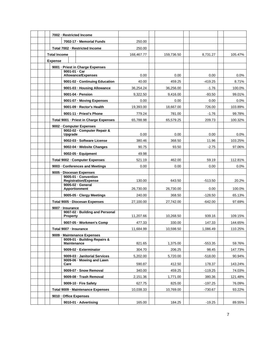|  |                                | 7002 - Restricted Income                                    |            |            |           |         |
|--|--------------------------------|-------------------------------------------------------------|------------|------------|-----------|---------|
|  |                                | 7002-17 - Memorial Funds                                    | 250.00     |            |           |         |
|  |                                | Total 7002 - Restricted Income                              | 250.00     |            |           |         |
|  | <b>Total Income</b>            |                                                             | 168,467.77 | 159.736.50 | 8,731.27  | 105.47% |
|  | <b>Expense</b>                 |                                                             |            |            |           |         |
|  |                                | 9001 - Priest in Charge Expenses                            |            |            |           |         |
|  |                                | 9001-01 - Car<br><b>Allowance/Expenses</b>                  | 0.00       | 0.00       | 0.00      | 0.0%    |
|  |                                | 9001-02 - Continuing Education                              | 40.00      | 459.25     | $-419.25$ | 8.71%   |
|  |                                | 9001-03 - Housing Allowance                                 | 36,254.24  | 36,256.00  | $-1.76$   | 100.0%  |
|  |                                | 9001-04 - Pension                                           | 9,322.50   | 9,416.00   | $-93.50$  | 99.01%  |
|  |                                | 9001-07 - Moving Expenses                                   | 0.00       | 0.00       | 0.00      | 0.0%    |
|  |                                | 9001-09 - Rector's Health                                   | 19,393.00  | 18,667.00  | 726.00    | 103.89% |
|  |                                | 9001-11 - Priest's Phone                                    | 779.24     | 781.00     | $-1.76$   | 99.78%  |
|  |                                | Total 9001 - Priest in Charge Expenses                      | 65,788.98  | 65,579.25  | 209.73    | 100.32% |
|  |                                | 9002 - Computer Expenses                                    |            |            |           |         |
|  |                                | 9002-02 · Computer Repair &<br>Upgrade                      | 0.00       | 0.00       | 0.00      | 0.0%    |
|  |                                | 9002-03 - Software License                                  | 380.46     | 368.50     | 11.96     | 103.25% |
|  |                                | 9002-04 · Website Changes                                   | 90.75      | 93.50      | $-2.75$   | 97.06%  |
|  | 9002-05 · Equipment            |                                                             | 49.98      |            |           |         |
|  | Total 9002 - Computer Expenses |                                                             | 521.19     | 462.00     | 59.19     | 112.81% |
|  |                                | 9003 - Conferences and Meetings                             | 0.00       | 0.00       | 0.00      | 0.0%    |
|  |                                | 9005 - Diocesan Expenses                                    |            |            |           |         |
|  |                                | 9005-01 · Convention<br><b>Registration/Expense</b>         | 130.00     | 643.50     | $-513.50$ | 20.2%   |
|  |                                | 9005-02 - General                                           |            |            |           |         |
|  |                                | <b>Apportionment</b>                                        | 26,730.00  | 26,730.00  | 0.00      | 100.0%  |
|  |                                | 9005-05 · Clergy Meetings                                   | 240.00     | 368.50     | $-128.50$ | 65.13%  |
|  |                                | Total 9005 - Diocesan Expenses                              | 27,100.00  | 27,742.00  | $-642.00$ | 97.69%  |
|  | 9007 - Insurance               | 9007-02 - Building and Personal                             |            |            |           |         |
|  |                                | <b>Property</b>                                             | 11,207.66  | 10,268.50  | 939.16    | 109.15% |
|  |                                | 9007-05 · Workmen's Comp                                    | 477.33     | 330.00     | 147.33    | 144.65% |
|  |                                | Total 9007 - Insurance                                      | 11,684.99  | 10,598.50  | 1,086.49  | 110.25% |
|  |                                | 9009 - Maintenance Expenses<br>9009-01 · Building Repairs & |            |            |           |         |
|  |                                | <b>Maintenance</b>                                          | 821.65     | 1,375.00   | $-553.35$ | 59.76%  |
|  |                                | 9009-02 · Exterminator                                      | 304.70     | 206.25     | 98.45     | 147.73% |
|  |                                | 9009-03 · Janitorial Services                               | 5,202.00   | 5,720.00   | $-518.00$ | 90.94%  |
|  | Care                           | 9009-06 - Mowing and Lawn                                   | 590.87     | 412.50     | 178.37    | 143.24% |
|  |                                | 9009-07 - Snow Removal                                      | 340.00     | 459.25     | $-119.25$ | 74.03%  |
|  |                                | 9009-08 · Trash Removal                                     | 2,151.36   | 1,771.00   | 380.36    | 121.48% |
|  |                                | 9009-10 - Fire Safety                                       | 627.75     | 825.00     | $-197.25$ | 76.09%  |
|  |                                | Total 9009 - Maintenance Expenses                           | 10,038.33  | 10,769.00  | $-730.67$ | 93.22%  |
|  |                                | 9010 - Office Expenses                                      |            |            |           |         |
|  |                                | 9010-01 · Advertising                                       | 165.00     | 184.25     | $-19.25$  | 89.55%  |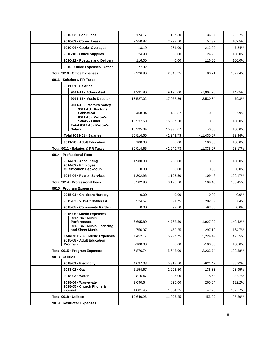|  |                          |                                            | 9010-02 - Bank Fees |                                                             |           |           | 36.67        |         |
|--|--------------------------|--------------------------------------------|---------------------|-------------------------------------------------------------|-----------|-----------|--------------|---------|
|  |                          |                                            |                     |                                                             | 174.17    | 137.50    |              | 126.67% |
|  |                          |                                            |                     | 9010-03 - Copier Lease                                      | 2,350.87  | 2,293.50  | 57.37        | 102.5%  |
|  |                          |                                            |                     | 9010-04 · Copier Overages                                   | 18.10     | 231.00    | $-212.90$    | 7.84%   |
|  |                          |                                            |                     | 9010-10 · Office Supplies                                   | 24.90     | 0.00      | 24.90        | 100.0%  |
|  |                          |                                            |                     | 9010-12 - Postage and Delivery                              | 116.00    | 0.00      | 116.00       | 100.0%  |
|  |                          | 9010 - Office Expenses - Other             |                     | 77.92                                                       |           |           |              |         |
|  |                          |                                            |                     | Total 9010 - Office Expenses                                | 2,926.96  | 2,846.25  | 80.71        | 102.84% |
|  |                          | 9011 · Salaries & PR Taxes                 |                     |                                                             |           |           |              |         |
|  |                          |                                            |                     | 9011-01 · Salaries                                          |           |           |              |         |
|  |                          |                                            |                     | 9011-11 - Admin Asst                                        | 1,291.80  | 9,196.00  | $-7,904.20$  | 14.05%  |
|  |                          |                                            |                     | 9011-13 - Music Director                                    | 13,527.02 | 17,057.86 | $-3,530.84$  | 79.3%   |
|  |                          |                                            |                     | 9011-15 - Rector's Salary<br>9011-1S - Rector's             |           |           |              |         |
|  |                          |                                            |                     | <b>Sabbatical</b>                                           | 458.34    | 458.37    | $-0.03$      | 99.99%  |
|  |                          |                                            |                     | 9011-15 - Rector's<br>Salary - Other                        | 15,537.50 | 15.537.50 | 0.00         | 100.0%  |
|  |                          |                                            |                     | Total 9011-15 - Rector's                                    |           |           |              |         |
|  |                          |                                            | <b>Salary</b>       |                                                             | 15.995.84 | 15,995.87 | $-0.03$      | 100.0%  |
|  |                          |                                            |                     | Total 9011-01 · Salaries                                    | 30,814.66 | 42,249.73 | $-11,435.07$ | 72.94%  |
|  |                          |                                            |                     | 9011-28 - Adult Education                                   | 100.00    | 0.00      | 100.00       | 100.0%  |
|  |                          |                                            |                     | Total 9011 - Salaries & PR Taxes                            | 30,914.66 | 42,249.73 | $-11,335.07$ | 73.17%  |
|  | 9014 - Professional Fees |                                            |                     |                                                             |           |           |              |         |
|  |                          | 9014-01 - Accounting<br>9014-02 · Employee |                     | 1,980.00                                                    | 1,980.00  | 0.00      | 100.0%       |         |
|  |                          |                                            |                     | <b>Qualification Backgoun</b>                               | 0.00      | 0.00      | 0.00         | 0.0%    |
|  |                          |                                            |                     | 9014-04 - Payroll Services                                  | 1,302.96  | 1,193.50  | 109.46       | 109.17% |
|  |                          |                                            |                     | Total 9014 - Professional Fees                              | 3,282.96  | 3,173.50  | 109.46       | 103.45% |
|  |                          |                                            |                     | 9015 · Program Expenses                                     |           |           |              |         |
|  |                          |                                            |                     | 9015-01 - Childcare Nursery                                 | 0.00      | 0.00      | 0.00         | 0.0%    |
|  |                          |                                            |                     | 9015-03 - VBS/Christian Ed                                  | 524.57    | 321.75    | 202.82       | 163.04% |
|  |                          |                                            |                     | 9015-05 - Community Garden                                  | 0.00      | 93.50     | $-93.50$     | 0.0%    |
|  |                          |                                            |                     | 9015-06 - Music Expenses                                    |           |           |              |         |
|  |                          |                                            |                     | 9015-B6 - Music<br><b>Performance</b>                       | 6,695.80  | 4,768.50  | 1,927.30     | 140.42% |
|  |                          |                                            |                     | 9015-C6 - Music Licensing                                   |           |           |              |         |
|  |                          |                                            |                     | and Sheet Music                                             | 756.37    | 459.25    | 297.12       | 164.7%  |
|  |                          |                                            |                     | Total 9015-06 - Music Expenses<br>9015-08 - Adult Education | 7,452.17  | 5,227.75  | 2,224.42     | 142.55% |
|  |                          |                                            | Program             |                                                             | $-100.00$ | 0.00      | $-100.00$    | 100.0%  |
|  |                          |                                            |                     | Total 9015 - Program Expenses                               | 7,876.74  | 5,643.00  | 2,233.74     | 139.58% |
|  | 9018 - Utilities         |                                            |                     |                                                             |           |           |              |         |
|  |                          |                                            |                     | 9018-01 - Electricity                                       | 4,697.03  | 5,318.50  | $-621.47$    | 88.32%  |
|  |                          | $9018 - 02 - Gas$                          |                     | 2,154.67                                                    | 2,293.50  | $-138.83$ | 93.95%       |         |
|  |                          |                                            |                     | 9018-03 · Water                                             | 816.47    | 825.00    | $-8.53$      | 98.97%  |
|  |                          |                                            |                     | 9018-04 · Wastewater                                        | 1,090.64  | 825.00    | 265.64       | 132.2%  |
|  |                          |                                            | internet            | 9018-05 - Church Phone &                                    | 1,881.45  | 1,834.25  | 47.20        | 102.57% |
|  | Total 9018 - Utilities   |                                            |                     |                                                             | 10,640.26 | 11,096.25 | $-455.99$    | 95.89%  |
|  |                          |                                            |                     | 9019 - Restricted Expenses                                  |           |           |              |         |
|  |                          |                                            |                     |                                                             |           |           |              |         |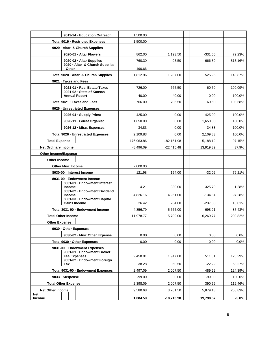|     |        |                      | 9019-24 - Education Outreach                               | 1,500.00    |              |             |         |
|-----|--------|----------------------|------------------------------------------------------------|-------------|--------------|-------------|---------|
|     |        |                      | Total 9019 - Restricted Expenses                           | 1,500.00    |              |             |         |
|     |        |                      | 9020 · Altar & Church Supplies                             |             |              |             |         |
|     |        |                      | 9020-01 · Altar Flowers                                    | 862.00      | 1,193.50     | $-331.50$   | 72.23%  |
|     |        |                      | 9020-02 - Altar Supplies<br>9020 · Altar & Church Supplies | 760.30      | 93.50        | 666.80      | 813.16% |
|     |        |                      | - Other                                                    | 190.66      |              |             |         |
|     |        |                      | Total 9020 · Altar & Church Supplies                       | 1,812.96    | 1,287.00     | 525.96      | 140.87% |
|     |        |                      | 9021 · Taxes and Fees                                      |             |              |             |         |
|     |        |                      | 9021-01 · Real Estate Taxes                                | 726.00      | 665.50       | 60.50       | 109.09% |
|     |        |                      | 9021-02 · State of Kansas -<br><b>Annual Report</b>        | 40.00       | 40.00        | 0.00        | 100.0%  |
|     |        |                      | Total 9021 - Taxes and Fees                                | 766.00      | 705.50       | 60.50       | 108.58% |
|     |        |                      | 9026 - Unrestricted Expenses                               |             |              |             |         |
|     |        |                      | 9026-04 - Supply Priest                                    | 425.00      | 0.00         | 425.00      | 100.0%  |
|     |        |                      | 9026-11 - Guest Organist                                   | 1,650.00    | 0.00         | 1,650.00    | 100.0%  |
|     |        |                      | 9026-12 - Misc. Expenses                                   | 34.83       | 0.00         | 34.83       | 100.0%  |
|     |        |                      | Total 9026 - Unrestricted Expenses                         | 2,109.83    | 0.00         | 2,109.83    | 100.0%  |
|     |        | <b>Total Expense</b> |                                                            | 176,963.86  | 182,151.98   | $-5,188.12$ | 97.15%  |
|     |        |                      | <b>Net Ordinary Income</b>                                 | $-8,496.09$ | $-22,415.48$ | 13,919.39   | 37.9%   |
|     |        |                      | <b>Other Income/Expense</b>                                |             |              |             |         |
|     |        | Other Income         |                                                            |             |              |             |         |
|     |        |                      | <b>Other Misc Income</b>                                   | 7,000.00    |              |             |         |
|     |        |                      | 8030-00 - Interest Income                                  | 121.98      | 154.00       | $-32.02$    | 79.21%  |
|     |        |                      | 8031-00 - Endowment Income                                 |             |              |             |         |
|     |        |                      | 8031-01 · Endowment Interest<br><b>Income</b>              | 4.21        | 330.00       | $-325.79$   | 1.28%   |
|     |        |                      | 8031-02 - Endowment Dividend                               |             |              |             |         |
|     |        |                      | Income<br>8031-03 - Endowment Capital                      | 4.826.16    | 4,961.00     | $-134.84$   | 97.28%  |
|     |        |                      | <b>Gains Income</b>                                        | 26.42       | 264.00       | $-237.58$   | 10.01%  |
|     |        |                      | Total 8031-00 - Endowment Income                           | 4,856.79    | 5,555.00     | $-698.21$   | 87.43%  |
|     |        |                      | <b>Total Other Income</b>                                  | 11,978.77   | 5,709.00     | 6,269.77    | 209.82% |
|     |        | Other Expense        |                                                            |             |              |             |         |
|     |        |                      | 9030 - Other Expenses                                      |             |              |             |         |
|     |        |                      | 9030-02 - Misc Other Expense                               | 0.00        | 0.00         | 0.00        | 0.0%    |
|     |        |                      | Total 9030 - Other Expenses                                | 0.00        | 0.00         | 0.00        | 0.0%    |
|     |        |                      | 9031-00 - Endowment Expenses                               |             |              |             |         |
|     |        |                      | 9031-01 - Endowment Broker<br><b>Fee Expenses</b>          | 2,458.81    | 1,947.00     | 511.81      | 126.29% |
|     |        |                      | 9031-02 - Endowment Foreign<br>Tax                         | 38.28       | 60.50        | $-22.22$    | 63.27%  |
|     |        |                      | Total 9031-00 · Endowment Expenses                         | 2,497.09    | 2,007.50     | 489.59      | 124.39% |
|     |        |                      | 9033 · Suspense                                            | $-99.00$    | 0.00         | $-99.00$    | 100.0%  |
|     |        |                      | <b>Total Other Expense</b>                                 | 2,398.09    | 2,007.50     | 390.59      | 119.46% |
|     |        | Net Other Income     |                                                            |             |              |             |         |
| Net |        |                      |                                                            | 9,580.68    | 3,701.50     | 5,879.18    | 258.83% |
|     | Income |                      |                                                            | 1,084.59    | $-18,713.98$ | 19,798.57   | $-5.8%$ |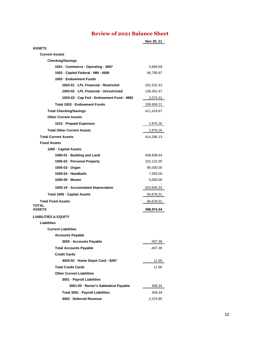# **Review of 2021 Balance Sheet**

<span id="page-9-0"></span>

|                                                      | Nov 30, 21              |
|------------------------------------------------------|-------------------------|
| <b>ASSETS</b>                                        |                         |
| <b>Current Assets</b>                                |                         |
| <b>Checking/Savings</b>                              |                         |
| 1001 · Commerce - Operating - 3697                   | 4,669.69                |
| 1002 - Capitol Federal - MM - 0006                   | 66,790.97               |
| 1003 - Endowment Funds                               |                         |
| 1003-01 - LPL Financial - Restricted                 | 201,532.43              |
| 1003-02 - LPL Financial - Unrestricted               | 136,352.47              |
| 1003-03 · Cap Fed - Endowment Fund - 4982            | 2,074.31                |
| Total 1003 - Endowment Funds                         | 339,959.21              |
| <b>Total Checking/Savings</b>                        | 411,419.87              |
| <b>Other Current Assets</b>                          |                         |
| 1010 - Prepaid Expenses                              | 2,876.26                |
| <b>Total Other Current Assets</b>                    | 2,876.26                |
| <b>Total Current Assets</b>                          | 414,296.13              |
| <b>Fixed Assets</b>                                  |                         |
| 1005 - Capital Assets                                |                         |
| 1005-01 · Building and Land                          | 408,608.64              |
| 1005-02 - Personal Property                          | 102,122.00              |
| 1005-03 · Organ                                      | 85,000.00               |
| 1005-04 · Handbells                                  | 7,593.00                |
| 1005-05 - Mower                                      | 5,000.00                |
| 1005-19 · Accumulated Depreciation                   | 523,645.33              |
| Total 1005 - Capital Assets                          | 84,678.31               |
| <b>Total Fixed Assets</b><br>TOTAL<br><b>ASSETS</b>  | 84,678.31<br>498,974.44 |
|                                                      |                         |
| <b>LIABILITIES &amp; EQUITY</b>                      |                         |
| <b>Liabilities</b>                                   |                         |
| <b>Current Liabilities</b>                           |                         |
| <b>Accounts Payable</b><br>3005 - Accounts Payable   |                         |
|                                                      | -407.38                 |
| <b>Total Accounts Payable</b><br><b>Credit Cards</b> | -407.38                 |
|                                                      |                         |
| 4003-02 · Home Depot Card - 8297                     | 11.66                   |
| <b>Total Credit Cards</b>                            | 11.66                   |
| <b>Other Current Liabilities</b>                     |                         |
| 3001 - Payroll Liabilities                           |                         |
| 3001-05 · Rector's Sabbatical Payable                | 458.34                  |
| Total 3001 - Payroll Liabilities                     | 458.34                  |
| 3003 - Deferred Revenue                              | 2,374.80                |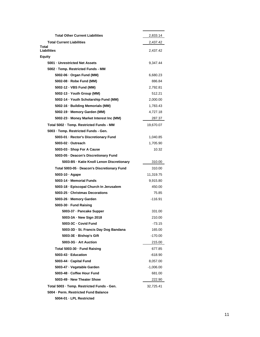| <b>Total Other Current Liabilities</b>      | 2,833.14    |
|---------------------------------------------|-------------|
| <b>Total Current Liabilities</b>            | 2,437.42    |
| Total<br>Liabilities                        | 2,437.42    |
| Equity                                      |             |
| 5001 · Unrestricted Net Assets              | 9,347.44    |
| 5002 · Temp. Restricted Funds - MM          |             |
| 5002-06 · Organ Fund (MM)                   | 6,680.23    |
| 5002-08 - Robe Fund (MM)                    | 886.84      |
| 5002-12 · VBS Fund (MM)                     | 2,792.81    |
| 5002-13 · Youth Group (MM)                  | 512.21      |
| 5002-14 · Youth Scholarship Fund (MM)       | 2,000.00    |
| 5002-16 · Building Memorials (MM)           | 1,783.43    |
| 5002-19 - Memory Garden (MM)                | 4,727.18    |
| 5002-23 · Money Market Interest Inc (MM)    | 287.37      |
| Total 5002 - Temp. Restricted Funds - MM    | 19,670.07   |
| 5003 · Temp. Restricted Funds - Gen.        |             |
| 5003-01 · Rector's Discretionary Fund       | 1,040.85    |
| 5003-02 - Outreach                          | 1,705.90    |
| 5003-03 · Shop For A Cause                  | 10.32       |
| 5003-05 · Deacon's Discretionary Fund       |             |
| 5003-B5 · Katie Knoll Lenon Discretionary   | 310.00      |
| Total 5003-05 · Deacon's Discretionary Fund | 310.00      |
| 5003-10 · Agape                             | 11,319.75   |
| 5003-14 - Memorial Funds                    | 9,915.80    |
| 5003-18 - Episcopal Church In Jerusalem     | 450.00      |
| 5003-25 · Christmas Decorations             | 75.85       |
| 5003-26 - Memory Garden                     | $-116.91$   |
| 5003-30 - Fund Raising                      |             |
| 5003-37 - Pancake Supper                    | 331.00      |
| 5003-3A - New Sign 2018                     | 210.00      |
| 5003-3C - Covid Fund                        | $-73.15$    |
| 5003-3D · St. Francis Day Dog Bandana       | 165.00      |
| 5003-3E - Bishop's Gift                     | $-170.00$   |
| 5003-3G - Art Auction                       | 215.00      |
| Total 5003-30 - Fund Raising                | 677.85      |
| 5003-43 - Education                         | -618.90     |
| 5003-44 · Capital Fund                      | 8,057.00    |
| 5003-47 · Vegetable Garden                  | $-1,006.00$ |
| 5003-48 - Coffee Hour Fund                  | 681.00      |
| 5003-49 - New Theater Show                  | 222.90      |
| Total 5003 · Temp. Restricted Funds - Gen.  | 32,725.41   |
| 5004 · Perm. Restricted Fund Balance        |             |

**5004-01 · LPL Restricted**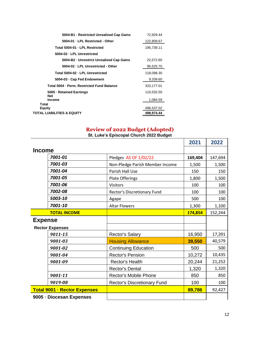| 5004-B1 - Restricted Unrealized Cap Gains  | 72,929.44  |
|--------------------------------------------|------------|
| 5004-01 - LPL Restricted - Other           | 122,809.67 |
| Total 5004-01 - LPL Restricted             | 195,739.11 |
| 5004-02 - LPL Unrestricted                 |            |
| 5004-B2 - Unrestrict Unrealized Cap Gains  | 22,572.60  |
| 5004-02 - LPL Unrestricted - Other         | 95,525.70  |
| Total 5004-02 - LPL Unrestricted           | 118,098.30 |
| 5004-03 · Cap Fed Endowment                | 9.339.60   |
| Total 5004 - Perm. Restricted Fund Balance | 323,177.01 |
| 5005 · Retained Earnings                   | 110,532.50 |
| Net<br><b>Income</b>                       | 1,084.59   |
| Total<br><b>Equity</b>                     | 496,537.02 |
| TOTAL LIABILITIES & EQUITY                 | 498,974.44 |

# **Review of 2022 Budget (Adopted)**

|  |  | St. Luke's Episcopal Church 2022 Budget |  |  |  |
|--|--|-----------------------------------------|--|--|--|
|--|--|-----------------------------------------|--|--|--|

<span id="page-11-0"></span>

|                |                                     |                                 | 2021    | 2022    |
|----------------|-------------------------------------|---------------------------------|---------|---------|
| <b>Income</b>  |                                     |                                 |         |         |
|                | 7001-01                             | Pledges AS OF 1/02/22           | 169,404 | 147,694 |
|                | 7001-03                             | Non-Pledge Parish Member Income | 1,500   | 1,500   |
|                | 7001-04                             | Parish Hall Use                 | 150     | 150     |
|                | 7001-05                             | Plate Offerings                 | 1,800   | 1,500   |
|                | 7001-06                             | <b>Visitors</b>                 | 100     | 100     |
|                | 7002-08                             | Rector's Discretionary Fund     | 100     | 100     |
|                | 5003-10                             | Agape                           | 500     | 100     |
|                | 7001-10                             | <b>Altar Flowers</b>            | 1,300   | 1,100   |
|                | <b>TOTAL INCOME</b>                 |                                 | 174,854 | 152,244 |
| <b>Expense</b> |                                     |                                 |         |         |
|                | <b>Rector Expenses</b>              |                                 |         |         |
|                | 9011-15                             | <b>Rector's Salary</b>          | 16,950  | 17,391  |
|                | 9001-03                             | <b>Housing Allowance</b>        | 39,550  | 40,579  |
|                | 9001-02                             | <b>Continuing Education</b>     | 500     | 500     |
|                | 9001-04                             | <b>Rector's Pension</b>         | 10,272  | 10,435  |
|                | 9001-09                             | <b>Rector's Health</b>          | 20,244  | 21,252  |
|                |                                     | <b>Rector's Dental</b>          | 1,320   | 1,320   |
|                | 9001-11                             | Rector's Mobile Phone           | 850     | 850     |
|                | 9019-08                             | Rector's Discretionary Fund     | 100     | 100     |
|                | <b>Total 9001 - Rector Expenses</b> |                                 | 89,786  | 92,427  |
|                | 9005 - Diocesan Expenses            |                                 |         |         |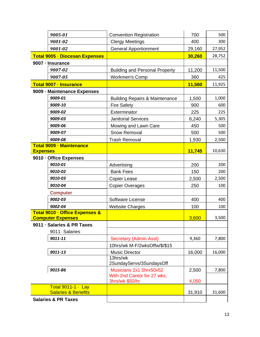|                                | 9005-01<br><b>Convention Registration</b>                  |                                                                           | 700            | 500    |
|--------------------------------|------------------------------------------------------------|---------------------------------------------------------------------------|----------------|--------|
| 9001-02                        |                                                            | <b>Clergy Meetings</b>                                                    | 400            | 300    |
| 9001-02                        |                                                            | <b>General Apportionment</b>                                              | 29,160         | 27,952 |
| Total 9005 · Diocesan Expenses |                                                            |                                                                           | 30,260         | 28,752 |
|                                | 9007 - Insurance                                           |                                                                           |                |        |
|                                | 9007-02                                                    | <b>Building and Personal Property</b>                                     | 11,200         | 11,500 |
|                                | 9007-05                                                    | <b>Workmen's Comp</b>                                                     | 360            | 425    |
|                                | <b>Total 9007 - Insurance</b>                              |                                                                           | 11,560         | 11,925 |
|                                | 9009 - Maintenance Expenses                                |                                                                           |                |        |
|                                | 9009-01                                                    | <b>Building Repairs &amp; Maintenance</b>                                 | 1,500          | 1,000  |
|                                | 9009-10                                                    | <b>Fire Safety</b>                                                        | 900            | 600    |
|                                | 9009-02                                                    | Exterminator                                                              | 225            | 225    |
|                                | 9009-03                                                    | <b>Janitorial Services</b>                                                | 6,240          | 5,305  |
|                                | 9009-06                                                    | Mowing and Lawn Care                                                      | 450            | 500    |
|                                | 9009-07                                                    | Snow Removal                                                              | 500            | 500    |
|                                | 9009-08                                                    | <b>Trash Removal</b>                                                      | 1,930          | 2,500  |
|                                | <b>Total 9009 - Maintenance</b>                            |                                                                           |                |        |
| <b>Expenses</b>                |                                                            |                                                                           | 11,745         | 10,630 |
|                                | 9010 - Office Expenses                                     |                                                                           |                |        |
|                                | 9010-01                                                    | Advertising                                                               | 200            | 200    |
|                                | 9010-02                                                    | <b>Bank Fees</b>                                                          | 150            | 200    |
|                                | 9010-03                                                    | <b>Copier Lease</b>                                                       | 2,500          | 2,500  |
|                                | 9010-04                                                    | <b>Copier Overages</b>                                                    | 250            | 100    |
|                                | <b>Computer</b>                                            |                                                                           |                |        |
|                                | 9002-03                                                    | Software License                                                          | 400            | 400    |
|                                | 9002-04                                                    | <b>Website Charges</b>                                                    | 100            | 100    |
|                                | Total 9010 · Office Expenses &<br><b>Computer Expenses</b> |                                                                           | 3,600          | 3,500  |
|                                | 9011 · Salaries & PR Taxes                                 |                                                                           |                |        |
|                                | 9011 Salaries                                              |                                                                           |                |        |
|                                | 9011-11                                                    | <b>Secretary (Admin Asst)</b>                                             | 9,360          | 7,800  |
|                                |                                                            | 10hrs/wk M-F/2wksOffw/\$/\$15                                             |                |        |
|                                | 9011-13                                                    | <b>Music Director</b>                                                     | 16,000         | 16,000 |
|                                |                                                            | 13hrs/wk<br>2SundayServs/3SundaysOff                                      |                |        |
|                                | 9015-B6                                                    | Musicians 2x1.5hrx50x52<br>With 2nd Cantor for 27 wks,<br>3hrs/wk \$50/hr | 2,500<br>4,050 | 7,800  |
|                                | Total 9011-1 · Lay                                         |                                                                           |                |        |
|                                | <b>Salaries &amp; Benefits</b>                             |                                                                           | 31,910         | 31,600 |
|                                | <b>Salaries &amp; PR Taxes</b>                             |                                                                           |                |        |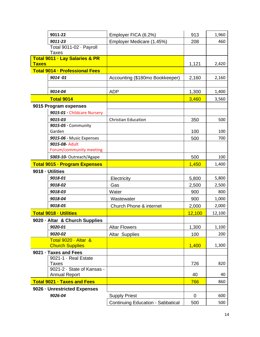|                                                           | 9011-22                                    | Employer FICA (6.2%)                     | 913         | 1,960        |
|-----------------------------------------------------------|--------------------------------------------|------------------------------------------|-------------|--------------|
| 9011-23                                                   |                                            | Employer Medicare (1.45%)                | 208         | 460          |
| Total 9011-02 · Payroll<br><b>Taxes</b>                   |                                            |                                          |             |              |
| <b>Total 9011 - Lay Salaries &amp; PR</b><br><b>Taxes</b> |                                            |                                          | 1,121       | 2,420        |
|                                                           | <b>Total 9014 - Professional Fees</b>      |                                          |             |              |
|                                                           | 9014.01                                    | Accounting (\$180mo Bookkeeper)          | 2,160       | 2,160        |
|                                                           |                                            |                                          |             |              |
|                                                           | 9014-04                                    | <b>ADP</b>                               | 1,300       | 1,400        |
|                                                           | <b>Total 9014</b>                          |                                          | 3,460       | 3,560        |
|                                                           | 9015 Program expenses                      |                                          |             |              |
|                                                           | 9015-01 · Childcare Nursery                |                                          |             |              |
|                                                           | 9015-03                                    | <b>Christian Education</b>               | 350         | 500          |
|                                                           | $9015-05 \cdot$ Community                  |                                          |             |              |
|                                                           | Garden                                     |                                          | 100         | 100          |
|                                                           | 9015-06 · Music Expenses                   |                                          | 500         | 700          |
|                                                           | 9015-08- Adult<br>Forum/community meeting  |                                          |             |              |
|                                                           | 5003-10- Outreach/Agape                    |                                          |             | 100          |
|                                                           |                                            |                                          | 500         |              |
|                                                           | <b>Total 9015 - Program Expenses</b>       |                                          | 1,450       | 1,400        |
|                                                           | 9018 - Utilities<br>9018-01                |                                          |             |              |
|                                                           | 9018-02                                    | Electricity<br>Gas                       | 5,800       | 5,800        |
|                                                           | 9018-03                                    | Water                                    | 2,500       | 2,500<br>800 |
|                                                           | 9018-04                                    |                                          | 900<br>900  | 1,000        |
|                                                           | 9018-05                                    | Wastewater<br>Church Phone & internet    |             | 2,000        |
|                                                           |                                            |                                          | 2,000       |              |
|                                                           | <b>Total 9018 - Utilities</b>              |                                          | 12,100      | 12,100       |
|                                                           | 9020 · Altar & Church Supplies<br>9020-01  | <b>Altar Flowers</b>                     | 1,300       |              |
|                                                           | 9020-02                                    |                                          |             | 1,100<br>200 |
|                                                           | Total 9020 · Altar &                       | <b>Altar Supplies</b>                    | 100         |              |
|                                                           | <b>Church Supplies</b>                     |                                          | 1,400       | 1,300        |
|                                                           | 9021 · Taxes and Fees                      |                                          |             |              |
|                                                           | 9021-1 · Real Estate                       |                                          |             |              |
|                                                           | <b>Taxes</b><br>9021-2 · State of Kansas - |                                          | 726         | 820          |
|                                                           | <b>Annual Report</b>                       |                                          | 40          | 40           |
|                                                           | <b>Total 9021 - Taxes and Fees</b>         |                                          | 766         | 860          |
| 9026 - Unrestricted Expenses                              |                                            |                                          |             |              |
|                                                           | 9026-04                                    | <b>Supply Priest</b>                     | $\mathbf 0$ | 600          |
|                                                           |                                            | <b>Continuing Education - Sabbatical</b> | 500         | 500          |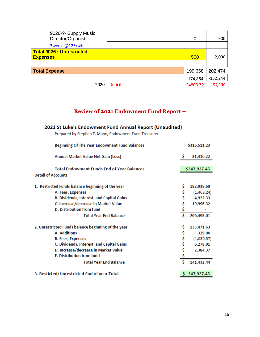| 9026-?- Supply Music<br>Director/Organist<br>3weeks@125/wk |                | 0          | 900        |
|------------------------------------------------------------|----------------|------------|------------|
| <b>Total 9026 - Unrestricted</b><br><b>Expenses</b>        |                | 500        | 2,000      |
|                                                            |                |            |            |
| <b>Total Expense</b>                                       |                | 199,658    | 202,474    |
|                                                            |                | $-174,854$ | $-152,244$ |
| 2020                                                       | <b>Deficit</b> | 24803.72   | 50,230     |

# **Review of 2021 Endowment Fund Report –**

# <span id="page-14-0"></span>2021 St Luke's Endowment Fund Annual Report (Unaudited)

| Prepared by Stephan T. Mann, Endowment Fund Treasurer |  |
|-------------------------------------------------------|--|
|                                                       |  |

| <b>Beginning Of The Year Endowment Fund Balances</b>                           |    | \$316,511.23 |
|--------------------------------------------------------------------------------|----|--------------|
| Annual Market Value Net Gain (Loss)                                            |    | 31,416.22    |
| <b>Total Endowment Funds End of Year Balances</b><br><b>Detail of Accounts</b> |    | \$347,927.45 |
| 1. Restricted Funds balance beginning of the year                              | \$ | 183,039.60   |
| A. Fees, Expenses                                                              | \$ | (1,463.24)   |
| <b>B. Dividends, Interest, and Capital Gains</b>                               |    | 4,922.33     |
| C. Increase/decrease in Market Value                                           | \$ | 19,996.32    |
| D. Distribution from fund                                                      | \$ |              |
| <b>Total Year End Balance</b>                                                  |    | 206,495.01   |
| 2. Unrestricted Funds balance beginning of the year                            | \$ | 133,471.63   |
| A. Additions                                                                   | \$ | 329.00       |
| <b>B. Fees, Expenses</b>                                                       | \$ | (1,030.57)   |
| C. Dividends, Interest, and Capital Gains                                      | \$ | 6,278.01     |
| D. Increase/decrease in Market Value                                           | \$ | 2,384.37     |
| <b>E. Distribution from fund</b>                                               |    |              |
| <b>Total Year End Balance</b>                                                  | Ś  | 141,432.44   |
| 3. Resticted/Unrestricted End of year Total                                    |    | 347,927.45   |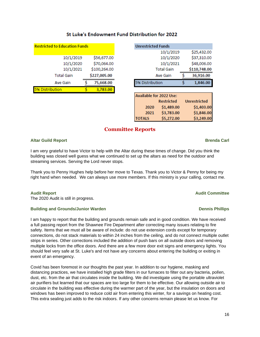| <b>Restricted to Education Funds</b> |  |              |  |  |
|--------------------------------------|--|--------------|--|--|
| 10/1/2019                            |  | \$56,677.00  |  |  |
| 10/1/2020                            |  | \$70,064.00  |  |  |
| 10/1/2021                            |  | \$100,264.00 |  |  |
| <b>Total Gain</b>                    |  | \$227,005.00 |  |  |
| Ave Gain                             |  | 75,668.00    |  |  |
| <b>% Distribution</b>                |  | 3,783.00     |  |  |
|                                      |  |              |  |  |

### St Luke's Endowment Fund Distribution for 2022

| <b>Unrestricted Funds</b> |           |  |              |  |
|---------------------------|-----------|--|--------------|--|
|                           | 10/1/2019 |  | \$25,432.00  |  |
|                           | 10/1/2020 |  | \$37,310.00  |  |
|                           | 10/1/2021 |  | \$48,006.00  |  |
| <b>Total Gain</b>         |           |  | \$110,748.00 |  |
| Ave Gain                  |           |  | 36,916.00    |  |
| 5% Distribution           |           |  | 1,846.00     |  |
|                           |           |  |              |  |

| Available for 2022 Use: |                   |                     |  |  |
|-------------------------|-------------------|---------------------|--|--|
|                         | <b>Restricted</b> | <b>Unrestricted</b> |  |  |
| 2020                    | \$1,489.00        | \$1,403.00          |  |  |
| 2021                    | \$3,783.00        | \$1,846.00          |  |  |
| <b>TOTALS</b>           | \$5,272.00        | \$3,249.00          |  |  |

### **Committee Reports**

#### <span id="page-15-0"></span>**Altar Guild Report Brenda Carl**

I am very grateful to have Victor to help with the Altar during these times of change. Did you think the building was closed well guess what we continued to set up the altars as need for the outdoor and streaming services. Serving the Lord never stops.

Thank you to Penny Hughes help before her move to Texas. Thank you to Victor & Penny for being my right hand when needed. We can always use more members. If this ministry is your calling, contact me.

#### **Audit Report Audit Committee**

The 2020 Audit is still in progress.

#### **Building and Grounds/Junior Warden Dennis Phillips**

I am happy to report that the building and grounds remain safe and in good condition. We have received a full passing report from the Shawnee Fire Department after correcting many issues relating to fire safety. Items that we must all be aware of include: do not use extension cords except for temporary connections, do not stack materials to within 24 inches from the ceiling, and do not connect multiple outlet strips in series. Other corrections included the addition of push bars on all outside doors and removing multiple locks from the office doors. And there are a few more door exit signs and emergency lights. You should feel very safe at St. Luke's and not have any concerns about entering the building or exiting in event of an emergency.

Covid has been foremost in our thoughts the past year. In addition to our hygiene, masking and distancing practices, we have installed high grade filters in our furnaces to filter out any bacteria, pollen, dust, etc. from the air that circulates inside the building. We did investigate using the portable ultraviolet air purifiers but learned that our spaces are too large for them to be effective. Our allowing outside air to circulate in the building was effective during the warmer part of the year, but the insulation on doors and windows has been improved to reduce cold air from entering this winter, for a savings on heating cost. This extra sealing just adds to the risk indoors. If any other concerns remain please let us know. For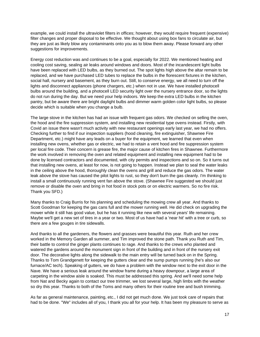example, we could install the ultraviolet filters in offices; however, they would require frequent (expensive) filter changes and proper disposal to be effective. We thought about using box fans to circulate air, but they are just as likely blow any contaminants onto you as to blow them away. Please forward any other suggestions for improvements.

Energy cost reduction was and continues to be a goal, especially for 2022. We mentioned heating and cooling cost saving, sealing air leaks around windows and doors. Most of the incandescent light bulbs have been replaced with LED bulbs, as they burned out. The spot lights high above the altar remain to be replaced, and we have purchased LED tubes to replace the bulbs in the florescent fixtures in the kitchen, social hall, nursery and basement, as they burn out. Still, to conserve energy, we all need to turn off the lights and disconnect appliances (phone chargers, etc.) when not in use. We have installed photocell bulbs around the building, and a photocell LED security light over the nursery entrance door, so the lights do not run during the day. But we need your help indoors. We keep the extra LED bulbs in the kitchen pantry, but be aware there are bright daylight bulbs and dimmer warm golden color light bulbs, so please decide which is suitable when you change a bulb.

The large stove in the kitchen has had an issue with frequent gas odors. We checked on selling the oven, the hood and the fire suppression system, and installing new residential type ovens instead. Firstly, with Covid an issue there wasn't much activity with new restaurant openings early last year, we had no offers. Checking further to find if our inspection suppliers (hood cleaning, fire extinguisher, Shawnee Fire Department, etc.) might have any leads on a buyer for the equipment, we learned that even when installing new ovens, whether gas or electric, we had to retain a vent hood and fire suppression system per local fire code. Their concern is grease fire, the major cause of kitchen fires in Shawnee. Furthermore the work involved in removing the oven and related equipment and installing new equipment had to be done by licensed contractors and documented, with city permits and inspections and so on. So it turns out that installing new ovens, at least for now, is not going to happen. Instead we plan to seal the water leaks in the ceiling above the hood, thoroughly clean the ovens and grill and reduce the gas odors. The water leak above the stove has caused the pilot lights to rust, so they don't burn the gas cleanly. I'm thinking to install a small continuously running vent fan above the stove. (Shawnee Fire suggested we should just remove or disable the oven and bring in hot food in stock pots or on electric warmers. So no fire risk. Thank you SFD.)

Many thanks to Craig Burris for his planning and scheduling the mowing crew all year. And thanks to Scott Goodman for keeping the gas cans full and the mower running well. He did check on upgrading the mower while it still has good value, but he has it running like new with several years' life remaining. Maybe we'll get a new set of tires in a year or two. Most of us have had a 'near hit' with a tree or curb, so there are a few gouges in tire sidewalls.

And thanks to all the gardeners, the flowers and grasses were beautiful this year. Ruth and her crew worked in the Memory Garden all summer, and Tim improved the stone path. Thank you Ruth and Tim, their battle to control the ginger plants continues to rage. And thanks to the crews who planted and watered the gardens around the monument sign in front of the building and in front of the nursery exit door. The decorative lights along the sidewalk to the main entry will be turned back on in the Spring. Thanks to Tom Grandgenett for keeping the gutters clear and the sump pumps running (he's also our furnace/AC tech). Speaking of gutters, we do have a problem with the window next to the exit door in the Nave. We have a serious leak around the window frame during a heavy downpour, a large area of carpeting in the window aisle is soaked. This must be addressed this spring. And we'll need some help from Nat and Becky again to contact our tree trimmer, we lost several large, high limbs with the weather so dry this year. Thanks to both of the Toms and many others for their routine tree and bush trimming.

As far as general maintenance, painting, etc., I did not get much done. We just took care of repairs that had to be done. "We" includes all of you, I thank you all for your help. It has been my pleasure to serve as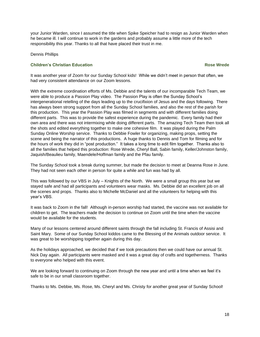your Junior Warden, since I assumed the title when Spike Speicher had to resign as Junior Warden when he became ill. I will continue to work in the gardens and probably assume a little more of the tech responsibility this year. Thanks to all that have placed their trust in me.

Dennis Phillips

#### **Children's Christian Education Rose Wrede**

It was another year of Zoom for our Sunday School kids! While we didn't meet in person that often, we had very consistent attendance on our Zoom lessons.

With the extreme coordination efforts of Ms. Debbie and the talents of our incomparable Tech Team, we were able to produce a Passion Play video. The Passion Play is often the Sunday School's intergenerational retelling of the days leading up to the crucifixion of Jesus and the days following. There has always been strong support from all the Sunday School families, and also the rest of the parish for this production. This year the Passion Play was filmed in segments and with different families doing different parts. This was to provide the safest experience during the pandemic. Every family had their own area and there was not intermixing while doing different parts. The amazing Tech Team then took all the shots and edited everything together to make one cohesive film. It was played during the Palm Sunday Online Worship service. Thanks to Debbie Fowler for organizing, making props, setting the scene and being the narrator of this productions. A huge thanks to Dennis and Tom for filming and for the hours of work they did in "post production." It takes a long time to edit film together. Thanks also to all the families that helped this production: Rose Wrede, Cheryl Ball, Sabin family, Keller/Johnston family, Jaquish/Beaulieu family, Maendele/Hoffman family and the Pfau family.

The Sunday School took a break during summer, but made the decision to meet at Deanna Rose in June. They had not seen each other in person for quite a while and fun was had by all.

This was followed by our VBS in July – Knights of the North. We were a small group this year but we stayed safe and had all participants and volunteers wear masks. Ms. Debbie did an excellent job on all the scenes and props. Thanks also to Michelle McDaniel and all the volunteers for helping with this year's VBS.

It was back to Zoom in the fall! Although in-person worship had started, the vaccine was not available for children to get. The teachers made the decision to continue on Zoom until the time when the vaccine would be available for the students.

Many of our lessons centered around different saints through the fall including St. Francis of Assisi and Saint Mary. Some of our Sunday School kiddos came to the Blessing of the Animals outdoor service. It was great to be worshipping together again during this day.

As the holidays approached, we decided that if we took precautions then we could have our annual St. Nick Day again. All participants were masked and it was a great day of crafts and togetherness. Thanks to everyone who helped with this event.

We are looking forward to continuing on Zoom through the new year and until a time when we feel it's safe to be in our small classroom together.

Thanks to Ms. Debbie, Ms. Rose, Ms. Cheryl and Ms. Christy for another great year of Sunday School!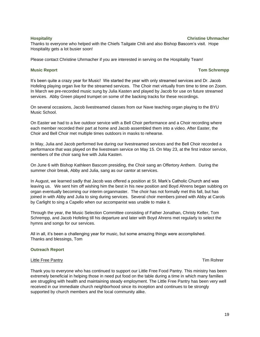#### **Hospitality Christine Uhrmacher**

Thanks to everyone who helped with the Chiefs Tailgate Chili and also Bishop Bascom's visit. Hope Hospitality gets a lot busier soon!

Please contact Christine Uhrmacher if you are interested in serving on the Hospitality Team!

#### **Music Report Tom Schrempp Music Report** 2004 **Tom Schrempp**

It's been quite a crazy year for Music! We started the year with only streamed services and Dr. Jacob Hofeling playing organ live for the streamed services. The Choir met virtually from time to time on Zoom. In March we pre-recorded music sung by Julia Kasten and played by Jacob for use on future streamed services. Abby Green played trumpet on some of the backing tracks for these recordings.

On several occasions, Jacob livestreamed classes from our Nave teaching organ playing to the BYU Music School.

On Easter we had to a live outdoor service with a Bell Choir performance and a Choir recording where each member recorded their part at home and Jacob assembled them into a video. After Easter, the Choir and Bell Choir met multiple times outdoors in masks to rehearse.

In May, Julia and Jacob performed live during our livestreamed services and the Bell Choir recorded a performance that was played on the livestream service on May 15. On May 23, at the first indoor service, members of the choir sang live with Julia Kasten.

On June 6 with Bishop Kathleen Bascom presiding, the Choir sang an Offertory Anthem. During the summer choir break, Abby and Julia, sang as our cantor at services.

In August, we learned sadly that Jacob was offered a position at St. Mark's Catholic Church and was leaving us. We sent him off wishing him the best in his new position and Boyd Ahrens began subbing on organ eventually becoming our interim organmaster. The choir has not formally met this fall, but has joined in with Abby and Julia to sing during services. Several choir members joined with Abby at Carols by Carlight to sing a Capello when our accompanist was unable to make it.

Through the year, the Music Selection Committee consisting of Father Jonathan, Christy Keller, Tom Schrempp, and Jacob Hofeling till his departure and later with Boyd Ahrens met regularly to select the hymns and songs for our services.

All in all, it's been a challenging year for music, but some amazing things were accomplished. Thanks and blessings, Tom

#### **Outreach Report**

#### Little Free Pantry **Tim Rohrer** Controller Controller Controller Controller Controller Controller Controller Controller Controller Controller Controller Controller Controller Controller Controller Controller Controller Con

Thank you to everyone who has continued to support our Little Free Food Pantry. This ministry has been extremely beneficial in helping those in need put food on the table during a time in which many families are struggling with health and maintaining steady employment. The Little Free Pantry has been very well received in our immediate church neighborhood since its inception and continues to be strongly supported by church members and the local community alike.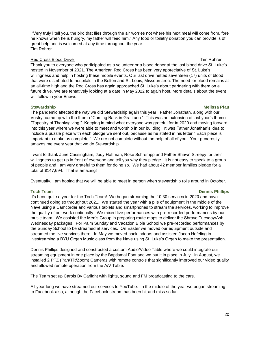"Very truly I tell you, the bird that flies through the air worries not where his next meal will come from, fore he knows when he is hungry, my father will feed him." Any food or toiletry donation you can provide is of great help and is welcomed at any time throughout the year. Tim Rohrer

### Red Cross Blood Drive Tim Rohrer Tim Rohrer Tim Rohrer Tim Rohrer

Thank you to everyone who participated as a volunteer or a blood donor at the last blood drive St. Luke's hosted in November of 2021. The American Red Cross has been very appreciative of St. Luke's willingness and help in hosting these mobile events. Our last drive netted seventeen (17) units of blood that were distributed to hospitals in the Belton and St. Louis, Missouri area. The need for blood remains at an all-time high and the Red Cross has again approached St. Luke's about partnering with them on a future drive. We are tentatively looking at a date in May 2022 to again host. More details about the event will follow in your Enews.

### **Stewardship** Melissa Pfau **in the United Steps in the United Steps in the United Steps in the Melissa Pfau in the United Steps in the United Steps in the United Steps in the United Steps in the United Steps in the United**

The pandemic affected the way we did Stewardship again this year. Father Jonathan, along with our Vestry, came up with the theme "Coming Back in Gratitude." This was an extension of last year's theme "Tapestry of Thanksgiving." Keeping in mind what everyone was grateful for in 2020 and moving forward into this year where we were able to meet and worship in our building. It was Father Jonathan's idea to include a puzzle piece with each pledge we sent out, because as he stated in his letter " Each piece is important to make us complete." We are not complete without the help of all of you. Your generosity amazes me every year that we do Stewardship.

I want to thank June Cassingham, Judy Hoffman, Rose Schrempp and Father Shawn Streepy for their willingness to get up in front of everyone and tell you why they pledge. It is not easy to speak to a group of people and I am very grateful to them for doing so. We had about 42 member families pledge for a total of \$147,694. That is amazing!

Eventually, I am hoping that we will be able to meet in person when stewardship rolls around in October.

### **Tech Team Dennis Phillips**

It's been quite a year for the Tech Team! We began streaming the 10:30 services in 2020 and have continued doing so throughout 2021. We started the year with a pile of equipment in the middle of the Nave using a Camcorder and various tablets and smartphones to stream the services, working to improve the quality of our work continually. We mixed live performances with pre-recorded performances by our music team. We assisted the Men's Group in preparing route maps to deliver the Shrove Tuesday/Ash Wednesday packages. For Palm Sunday and Vacation Bible School we pre-recorded performances by the Sunday School to be streamed at services. On Easter we moved our equipment outside and streamed the live services there. In May we moved back indoors and assisted Jacob Hofeling in livestreaming a BYU Organ Music class from the Nave using St. Luke's Organ to make the presentation.

Dennis Phillips designed and constructed a custom Audio/Video Table where we could integrate our streaming equipment in one place by the Baptismal Font and we put it in place in July. In August, we installed 2 PTZ (Pan/Tilt/Zoom) Cameras with remote controls that significantly improved our video quality and allowed remote operation from the A/V Table.

The Team set up Carols By Carlight with lights, sound and FM broadcasting to the cars.

All year long we have streamed our services to YouTube. In the middle of the year we began streaming to Facebook also, although the Facebook stream has been hit and miss so far.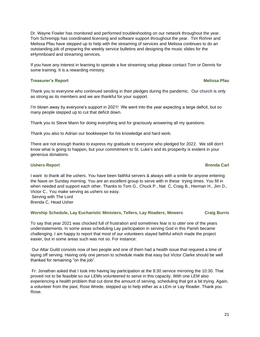Dr. Wayne Fowler has monitored and performed troubleshooting on our network throughout the year. Tom Schrempp has coordinated licensing and software support throughout the year. Tim Rohrer and Melissa Pfau have stepped up to help with the streaming of services and Melissa continues to do an outstanding job of preparing the weekly service bulletins and designing the music slides for the eHymnboard and streaming services.

If you have any interest in learning to operate a live streaming setup please contact Tom or Dennis for some training. It is a rewarding ministry.

#### **Treasurer's Report Community Community Community Community Community Community Community Community Community Community Community Community Community Community Community Community Community Community Community Community Co**

Thank you to everyone who continued sending in their pledges during the pandemic. Our church is only as strong as its members and we are thankful for your support.

I'm blown away by everyone's support in 2021! We went into the year expecting a large deficit, but so many people stepped up to cut that deficit down.

Thank you to Steve Mann for doing everything and for graciously answering all my questions.

Thank you also to Adrian our bookkeeper for his knowledge and hard work.

There are not enough thanks to express my gratitude to everyone who pledged for 2022. We still don't know what is going to happen, but your commitment to St. Luke's and its prosperity is evident in your generous donations.

#### **Ushers Report Brenda Carl**

I want to thank all the ushers. You have been faithful servers & always with a smile for anyone entering the Nave on Sunday morning. You are an excellent group to serve with in these trying times. You fill in when needed and support each other. Thanks to Tom G., Chuck P., Nat C, Craig B., Herman H., Jim D., Victor C.. You make serving as ushers so easy.

Serving with The Lord Brenda C, Head Usher

#### **Worship Schedule, Lay Eucharistic Ministers, Tellers, Lay Readers, Mowers Craig Burris**

To say that year 2021 was chocked full of frustration and sometimes fear is to utter one of the years understatements. In some areas scheduling Lay participation in serving God in this Parish became challenging. I am happy to report that most of our volunteers stayed faithful which made the project easier, but in some areas such was not so. For instance:

Our Altar Guild consists now of two people and one of them had a health issue that required a time of laying off serving. Having only one person to schedule made that easy but Victor Clarke should be well thanked for remaining "on the job".

Fr. Jonathan asked that I look into having lay participation at the 8:30 service mirroring the 10:30. That proved not to be feasible so our LEMs volunteered to serve in this capacity. With one LEM also experiencing a health problem that cut done the amount of serving, scheduling that got a bit trying. Again, a volunteer from the past, Rose Wrede, stepped up to help either as a LEm or Lay Reader. Thank you Rose.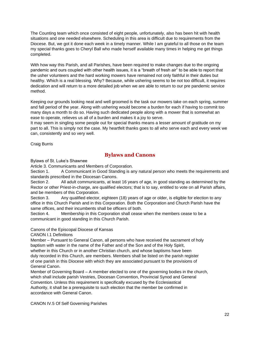The Counting team which once consisted of eight people, unfortunately, also has been hit with health situations and one needed elsewhere. Scheduling in this area is difficult due to requirements from the Diocese. But, we got it done each week in a timely manner. While I am grateful to all those on the team my special thanks goes to Cheryl Ball who made herself available many times in helping me get things completed.

With how way this Parish, and all Parishes, have been required to make changes due to the ongoing pandemic and ours coupled with other health issues, it is a "breath of fresh air" to be able to report that the usher volunteers and the hard working mowers have remained not only faithful in their duties but healthy. Which is a real blessing. Why? Because, while ushering seems to be not too difficult, it requires dedication and will return to a more detailed job when we are able to return to our pre pandemic service method.

Keeping our grounds looking neat and well groomed is the task our mowers take on each spring, summer and fall period of the year. Along with ushering would become a burden for each if having to commit too many days a month to do so. Having such dedicated people along with a mower that is somewhat an ease to operate, relieves us all of a burden and makes it a joy to serve.

It may seem in singling some people out for special thanks means a lesser amount of gratitude on my part to all. This is simply not the case. My heartfelt thanks goes to all who serve each and every week we can, consistently and so very well.

Craig Burris

### **Bylaws and Canons**

<span id="page-21-0"></span>Bylaws of St. Luke's Shawnee

Article 3. Communicants and Members of Corporation.

Section 1. A Communicant in Good Standing is any natural person who meets the requirements and standards prescribed in the Diocesan Canons.

Section 2. All adult communicants, at least 16 years of age, in good standing as determined by the Rector or other Priest-in-charge, are qualified electors; that is to say, entitled to vote on all Parish affairs, and be members of this Corporation.

Section 3. Any qualified elector, eighteen (18) years of age or older, is eligible for election to any office in this Church Parish and in this Corporation. Both the Corporation and Church Parish have the same offices, and their incumbents shall be officers of both.

Section 4. Membership in this Corporation shall cease when the members cease to be a communicant in good standing in this Church Parish.

### Canons of the Episcopal Diocese of Kansas

CANON I.1 Definitions

Member – Pursuant to General Canon, all persons who have received the sacrament of holy baptism with water in the name of the Father and of the Son and of the Holy Spirit, whether in this Church or in another Christian church, and whose baptisms have been duly recorded in this Church, are members. Members shall be listed on the parish register of one parish in this Diocese with which they are associated pursuant to the provisions of General Canon.

Member of Governing Board – A member elected to one of the governing bodies in the church, which shall include parish Vestries, Diocesan Convention, Provincial Synod and General Convention. Unless this requirement is specifically excused by the Ecclesiastical Authority, it shall be a prerequisite to such election that the member be confirmed in accordance with General Canon.

CANON IV.5 Of Self Governing Parishes